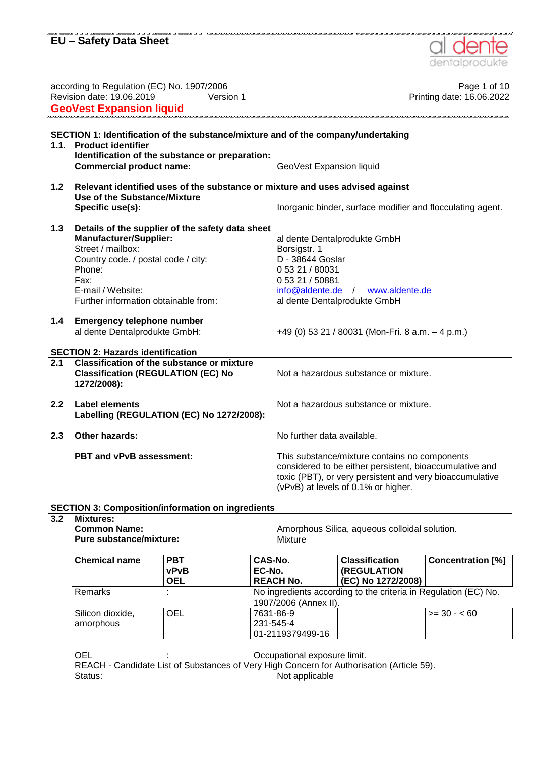

#### **SECTION 3: Composition/information on ingredients 3.2 Mixtures:**

| <b>Common Name:</b><br>Pure substance/mixture: |                                         | Mixture                                    | Amorphous Silica, aqueous colloidal solution.                   |                          |
|------------------------------------------------|-----------------------------------------|--------------------------------------------|-----------------------------------------------------------------|--------------------------|
| <b>Chemical name</b>                           | <b>PBT</b><br><b>vPvB</b><br><b>OEL</b> | CAS-No.<br>EC-No.<br><b>REACH No.</b>      | <b>Classification</b><br>(REGULATION<br>(EC) No 1272/2008)      | <b>Concentration [%]</b> |
| <b>Remarks</b>                                 |                                         | 1907/2006 (Annex II).                      | No ingredients according to the criteria in Regulation (EC) No. |                          |
| Silicon dioxide,<br>amorphous                  | <b>OEL</b>                              | 7631-86-9<br>231-545-4<br>01-2119379499-16 |                                                                 | $>= 30 - 60$             |

OEL **CEL COLL CEL EXPL EXPL CEL COLL CELL CELL CELL CELL CELL CELL CELL CELL CELL CELL** 

REACH - Candidate List of Substances of Very High Concern for Authorisation (Article 59). Status: Not applicable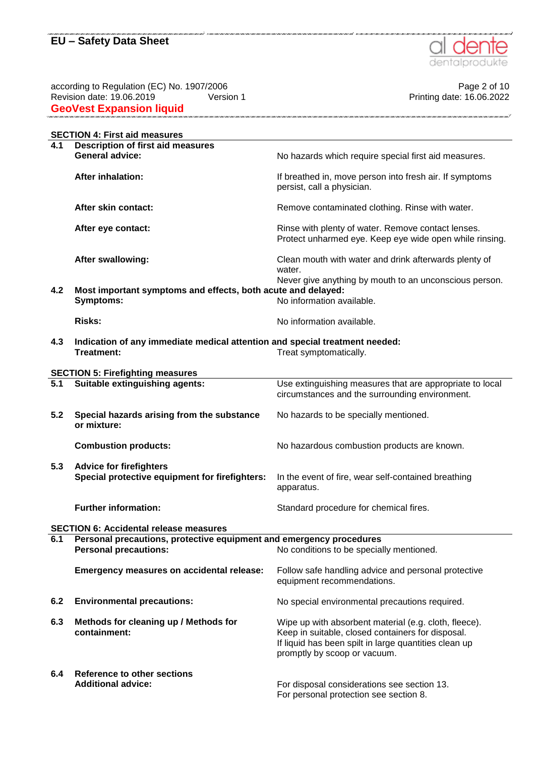

according to Regulation (EC) No. 1907/2006 Page 2 of 10 Revision date: 19.06.2019 Version 1 Printing date: 16.06.2022 **GeoVest Expansion liquid** 

|     | <b>SECTION 4: First aid measures</b>                                        |                                                                                                               |
|-----|-----------------------------------------------------------------------------|---------------------------------------------------------------------------------------------------------------|
| 4.1 | <b>Description of first aid measures</b>                                    |                                                                                                               |
|     | <b>General advice:</b>                                                      | No hazards which require special first aid measures.                                                          |
|     | <b>After inhalation:</b>                                                    | If breathed in, move person into fresh air. If symptoms<br>persist, call a physician.                         |
|     | After skin contact:                                                         | Remove contaminated clothing. Rinse with water.                                                               |
|     | After eye contact:                                                          | Rinse with plenty of water. Remove contact lenses.<br>Protect unharmed eye. Keep eye wide open while rinsing. |
|     | After swallowing:                                                           | Clean mouth with water and drink afterwards plenty of<br>water.                                               |
|     |                                                                             | Never give anything by mouth to an unconscious person.                                                        |
| 4.2 | Most important symptoms and effects, both acute and delayed:                |                                                                                                               |
|     | <b>Symptoms:</b>                                                            | No information available.                                                                                     |
|     | <b>Risks:</b>                                                               | No information available.                                                                                     |
| 4.3 | Indication of any immediate medical attention and special treatment needed: |                                                                                                               |
|     | Treatment:                                                                  | Treat symptomatically.                                                                                        |
|     |                                                                             |                                                                                                               |
|     | <b>SECTION 5: Firefighting measures</b>                                     |                                                                                                               |
| 5.1 | Suitable extinguishing agents:                                              | Use extinguishing measures that are appropriate to local                                                      |
|     |                                                                             | circumstances and the surrounding environment.                                                                |
|     |                                                                             |                                                                                                               |
| 5.2 | Special hazards arising from the substance                                  | No hazards to be specially mentioned.                                                                         |
|     | or mixture:                                                                 |                                                                                                               |
|     |                                                                             |                                                                                                               |
|     | <b>Combustion products:</b>                                                 | No hazardous combustion products are known.                                                                   |
| 5.3 | <b>Advice for firefighters</b>                                              |                                                                                                               |
|     | Special protective equipment for firefighters:                              | In the event of fire, wear self-contained breathing                                                           |
|     |                                                                             | apparatus.                                                                                                    |
|     | <b>Further information:</b>                                                 | Standard procedure for chemical fires.                                                                        |
|     |                                                                             |                                                                                                               |
|     | <b>SECTION 6: Accidental release measures</b>                               |                                                                                                               |
| 6.1 | Personal precautions, protective equipment and emergency procedures         |                                                                                                               |
|     | <b>Personal precautions:</b>                                                | No conditions to be specially mentioned.                                                                      |
|     | <b>Emergency measures on accidental release:</b>                            | Follow safe handling advice and personal protective                                                           |
|     |                                                                             | equipment recommendations.                                                                                    |
|     |                                                                             |                                                                                                               |
| 6.2 | <b>Environmental precautions:</b>                                           | No special environmental precautions required.                                                                |
| 6.3 | Methods for cleaning up / Methods for                                       | Wipe up with absorbent material (e.g. cloth, fleece).                                                         |
|     | containment:                                                                | Keep in suitable, closed containers for disposal.                                                             |
|     |                                                                             | If liquid has been spilt in large quantities clean up                                                         |
|     |                                                                             | promptly by scoop or vacuum.                                                                                  |
|     |                                                                             |                                                                                                               |
| 6.4 | <b>Reference to other sections</b>                                          |                                                                                                               |
|     | <b>Additional advice:</b>                                                   | For disposal considerations see section 13.                                                                   |
|     |                                                                             | For personal protection see section 8.                                                                        |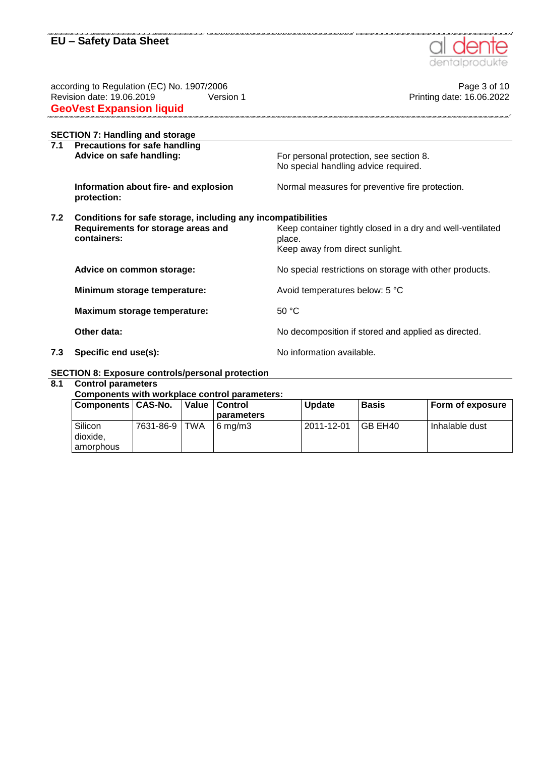

.<br>2014 - Anima Anima Anima Anima Anima Anima Anima Anima Anima

| according to Regulation (EC) No. 1907/2006                          |                                                      | Page 3 of 10                                               |
|---------------------------------------------------------------------|------------------------------------------------------|------------------------------------------------------------|
|                                                                     | Revision date: 19.06.2019<br>Version 1               | Printing date: 16.06.2022                                  |
|                                                                     | <b>GeoVest Expansion liquid</b>                      |                                                            |
|                                                                     | <b>SECTION 7: Handling and storage</b>               |                                                            |
| 7.1                                                                 | <b>Precautions for safe handling</b>                 |                                                            |
|                                                                     | Advice on safe handling:                             | For personal protection, see section 8.                    |
|                                                                     |                                                      | No special handling advice required.                       |
|                                                                     | Information about fire- and explosion<br>protection: | Normal measures for preventive fire protection.            |
| 7.2<br>Conditions for safe storage, including any incompatibilities |                                                      |                                                            |
|                                                                     | Requirements for storage areas and                   | Keep container tightly closed in a dry and well-ventilated |
|                                                                     | containers:                                          | place.                                                     |
|                                                                     |                                                      | Keep away from direct sunlight.                            |
|                                                                     | Advice on common storage:                            | No special restrictions on storage with other products.    |
|                                                                     | Minimum storage temperature:                         | Avoid temperatures below: 5 °C                             |
|                                                                     | Maximum storage temperature:                         | 50 °C                                                      |
|                                                                     |                                                      |                                                            |
|                                                                     | Other data:                                          | No decomposition if stored and applied as directed.        |
| 7.3                                                                 | Specific end use(s):                                 | No information available.                                  |

## **SECTION 8: Exposure controls/personal protection**

#### **8.1 Control parameters**

#### **Components with workplace control parameters:**

| Components   CAS-No.               |                 |  | Value   Control    | <b>Update</b> | <b>Basis</b> | Form of exposure |
|------------------------------------|-----------------|--|--------------------|---------------|--------------|------------------|
|                                    |                 |  | parameters         |               |              |                  |
| Silicon<br>dioxide.<br>l amorphous | 7631-86-9   TWA |  | $6 \text{ ma/m}$ 3 | 2011-12-01    | GB EH40      | Inhalable dust   |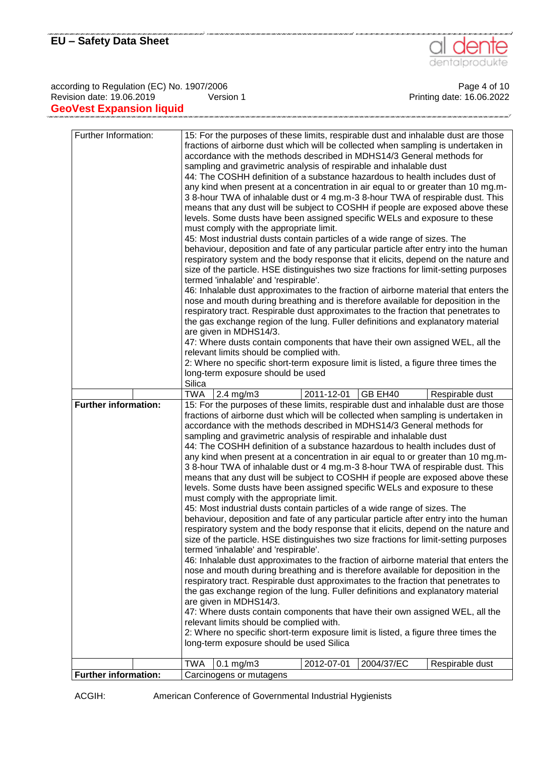

according to Regulation (EC) No. 1907/2006<br>Revision date: 19.06.2019 Page 4 of 10<br>Printing date: 16.06.2022 Revision date: 19.06.2019 **GeoVest Expansion liquid** 

| Further Information:        | 15: For the purposes of these limits, respirable dust and inhalable dust are those<br>fractions of airborne dust which will be collected when sampling is undertaken in<br>accordance with the methods described in MDHS14/3 General methods for<br>sampling and gravimetric analysis of respirable and inhalable dust<br>44: The COSHH definition of a substance hazardous to health includes dust of<br>any kind when present at a concentration in air equal to or greater than 10 mg.m-<br>3 8-hour TWA of inhalable dust or 4 mg.m-3 8-hour TWA of respirable dust. This<br>means that any dust will be subject to COSHH if people are exposed above these<br>levels. Some dusts have been assigned specific WELs and exposure to these<br>must comply with the appropriate limit.<br>45: Most industrial dusts contain particles of a wide range of sizes. The<br>behaviour, deposition and fate of any particular particle after entry into the human<br>respiratory system and the body response that it elicits, depend on the nature and<br>size of the particle. HSE distinguishes two size fractions for limit-setting purposes<br>termed 'inhalable' and 'respirable'.<br>46: Inhalable dust approximates to the fraction of airborne material that enters the<br>nose and mouth during breathing and is therefore available for deposition in the<br>respiratory tract. Respirable dust approximates to the fraction that penetrates to<br>the gas exchange region of the lung. Fuller definitions and explanatory material<br>are given in MDHS14/3.<br>47: Where dusts contain components that have their own assigned WEL, all the<br>relevant limits should be complied with.<br>2: Where no specific short-term exposure limit is listed, a figure three times the<br>long-term exposure should be used<br>Silica |
|-----------------------------|--------------------------------------------------------------------------------------------------------------------------------------------------------------------------------------------------------------------------------------------------------------------------------------------------------------------------------------------------------------------------------------------------------------------------------------------------------------------------------------------------------------------------------------------------------------------------------------------------------------------------------------------------------------------------------------------------------------------------------------------------------------------------------------------------------------------------------------------------------------------------------------------------------------------------------------------------------------------------------------------------------------------------------------------------------------------------------------------------------------------------------------------------------------------------------------------------------------------------------------------------------------------------------------------------------------------------------------------------------------------------------------------------------------------------------------------------------------------------------------------------------------------------------------------------------------------------------------------------------------------------------------------------------------------------------------------------------------------------------------------------------------------------------------------------------------------------------------|
|                             | 2011-12-01<br>GB EH40<br>TWA<br>$2.4$ mg/m $3$<br>Respirable dust                                                                                                                                                                                                                                                                                                                                                                                                                                                                                                                                                                                                                                                                                                                                                                                                                                                                                                                                                                                                                                                                                                                                                                                                                                                                                                                                                                                                                                                                                                                                                                                                                                                                                                                                                                    |
| <b>Further information:</b> | 15: For the purposes of these limits, respirable dust and inhalable dust are those                                                                                                                                                                                                                                                                                                                                                                                                                                                                                                                                                                                                                                                                                                                                                                                                                                                                                                                                                                                                                                                                                                                                                                                                                                                                                                                                                                                                                                                                                                                                                                                                                                                                                                                                                   |
|                             | fractions of airborne dust which will be collected when sampling is undertaken in<br>accordance with the methods described in MDHS14/3 General methods for<br>sampling and gravimetric analysis of respirable and inhalable dust<br>44: The COSHH definition of a substance hazardous to health includes dust of<br>any kind when present at a concentration in air equal to or greater than 10 mg.m-<br>3 8-hour TWA of inhalable dust or 4 mg.m-3 8-hour TWA of respirable dust. This<br>means that any dust will be subject to COSHH if people are exposed above these<br>levels. Some dusts have been assigned specific WELs and exposure to these<br>must comply with the appropriate limit.<br>45: Most industrial dusts contain particles of a wide range of sizes. The<br>behaviour, deposition and fate of any particular particle after entry into the human<br>respiratory system and the body response that it elicits, depend on the nature and<br>size of the particle. HSE distinguishes two size fractions for limit-setting purposes<br>termed 'inhalable' and 'respirable'.<br>46: Inhalable dust approximates to the fraction of airborne material that enters the<br>nose and mouth during breathing and is therefore available for deposition in the<br>respiratory tract. Respirable dust approximates to the fraction that penetrates to<br>the gas exchange region of the lung. Fuller definitions and explanatory material<br>are given in MDHS14/3.<br>47: Where dusts contain components that have their own assigned WEL, all the<br>relevant limits should be complied with.<br>2: Where no specific short-term exposure limit is listed, a figure three times the<br>long-term exposure should be used Silica<br>$0.1$ mg/m $3$<br><b>TWA</b><br>2012-07-01<br>2004/37/EC<br>Respirable dust           |
|                             |                                                                                                                                                                                                                                                                                                                                                                                                                                                                                                                                                                                                                                                                                                                                                                                                                                                                                                                                                                                                                                                                                                                                                                                                                                                                                                                                                                                                                                                                                                                                                                                                                                                                                                                                                                                                                                      |
| <b>Further information:</b> | Carcinogens or mutagens                                                                                                                                                                                                                                                                                                                                                                                                                                                                                                                                                                                                                                                                                                                                                                                                                                                                                                                                                                                                                                                                                                                                                                                                                                                                                                                                                                                                                                                                                                                                                                                                                                                                                                                                                                                                              |

ACGIH: American Conference of Governmental Industrial Hygienists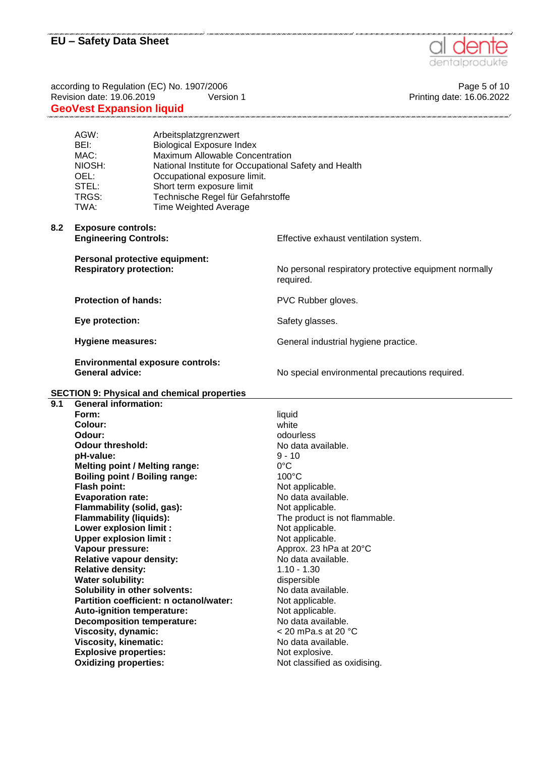

according to Regulation (EC) No. 1907/2006 **Page 5 of 10** Page 5 of 10 Revision date: 19.06.2019 Version 1 Version 1 Printing date: 16.06.2022 **GeoVest Expansion liquid**  AGW: Arbeitsplatzgrenzwert BEI: Biological Exposure Index<br>
MAC: Maximum Allowable Conce Maximum Allowable Concentration NIOSH: National Institute for Occupational Safety and Health OEL: Occupational exposure limit. STEL: Short term exposure limit TRGS: Technische Regel für Gefahrstoffe TWA: Time Weighted Average **8.2 Exposure controls: Engineering Controls: Effective exhaust ventilation system. Personal protective equipment: Respiratory protection:** No personal respiratory protective equipment normally required. **Protection of hands:** PVC Rubber gloves. **Eye protection:** Safety glasses. **Hygiene measures:** General industrial hygiene practice. **Environmental exposure controls: General advice:** The special environmental precautions required. **SECTION 9: Physical and chemical properties 9.1 General information: Form: Colour:** liquid white **Odour:** odourless **Odour threshold:** No data available. **pH-value:** 9 - 10 **Melting point / Melting range:** 0°C **Boiling point / Boiling range:** 100°C **Flash point:** Not applicable. **Evaporation rate:** No data available. **Flammability (solid, gas):** Not applicable.<br> **Flammability (liquids):** The product is The product is not flammable. **Lower explosion limit :** Not applicable. **Upper explosion limit :** Not applicable.<br>
Vapour pressure: Napour Approx. 23 hPa **Vapour pressure:** Approx. 23 hPa at 20°C **Relative vapour density:** No data available. **Relative density:** 1.10 - 1.30 **Water solubility: dispersible Solubility in other solvents:** No data available. **Partition coefficient: n octanol/water:** Not applicable. Auto-ignition temperature: Not applicable. **Decomposition temperature:** No data available. **Viscosity, dynamic:**  $\leq 20$  mPa.s at 20 °C

**Viscosity, kinematic:** No data available.

**Explosive properties:** Not explosive.

**Oxidizing properties:** Not classified as oxidising.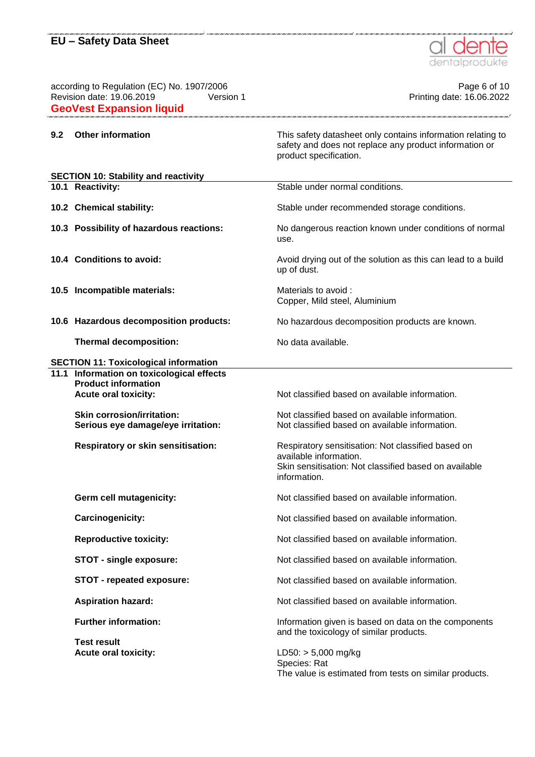

according to Regulation (EC) No. 1907/2006 **Page 6 of 10** Page 6 of 10 Revision date: 19.06.2019 Version 1 Version 1 Printing date: 16.06.2022 **GeoVest Expansion liquid 9.2 Other information** This safety datasheet only contains information relating to safety and does not replace any product information or product specification. **SECTION 10: Stability and reactivity 10.1 Reactivity:** Stable under normal conditions. **10.2 Chemical stability:** Stable under recommended storage conditions. **10.3 Possibility of hazardous reactions:** No dangerous reaction known under conditions of normal use. **10.4 Conditions to avoid:** Avoid drying out of the solution as this can lead to a build up of dust. **10.5 Incompatible materials:** Materials to avoid : Copper, Mild steel, Aluminium **10.6 Hazardous decomposition products:** No hazardous decomposition products are known. **Thermal decomposition:** No data available. **SECTION 11: Toxicological information 11.1 Information on toxicological effects Product information Acute oral toxicity:** Not classified based on available information. **Skin corrosion/irritation:** Not classified based on available information. **Serious eye damage/eye irritation:** Not classified based on available information. **Respiratory or skin sensitisation:** Respiratory sensitisation: Not classified based on available information. Skin sensitisation: Not classified based on available information. **Germ cell mutagenicity:** Not classified based on available information. **Carcinogenicity:** Carcinogenicity: Not classified based on available information. **Reproductive toxicity:** Not classified based on available information. **STOT - single exposure:** Not classified based on available information. **STOT - repeated exposure:** Not classified based on available information. Aspiration hazard: **Not classified based on available information. Further information:** Information given is based on data on the components and the toxicology of similar products. **Test result** Acute oral toxicity:  $LD50: > 5,000 \text{ mg/kg}$ Species: Rat The value is estimated from tests on similar products.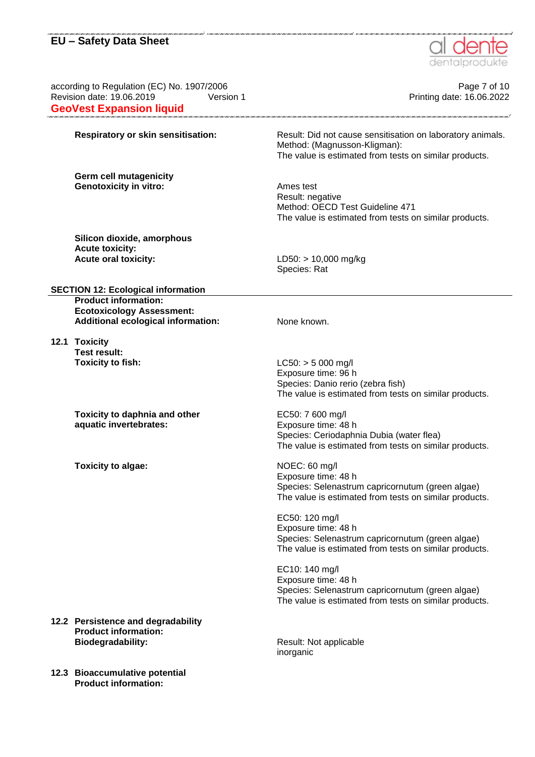

an can can can can can can can can can

| according to Regulation (EC) No. 1907/2006<br>Revision date: 19.06.2019<br>Version 1<br><b>GeoVest Expansion liquid</b> | Page 7 of 10<br>Printing date: 16.06.2022                                                                                                            |
|-------------------------------------------------------------------------------------------------------------------------|------------------------------------------------------------------------------------------------------------------------------------------------------|
| Respiratory or skin sensitisation:                                                                                      | Result: Did not cause sensitisation on laboratory animals.<br>Method: (Magnusson-Kligman):<br>The value is estimated from tests on similar products. |
| Germ cell mutagenicity<br><b>Genotoxicity in vitro:</b>                                                                 | Ames test<br>Result: negative<br>Method: OECD Test Guideline 471<br>The value is estimated from tests on similar products.                           |
| Silicon dioxide, amorphous<br><b>Acute toxicity:</b><br><b>Acute oral toxicity:</b>                                     | LD50: > 10,000 mg/kg<br>Species: Rat                                                                                                                 |
| <b>SECTION 12: Ecological information</b>                                                                               |                                                                                                                                                      |
| <b>Product information:</b><br><b>Ecotoxicology Assessment:</b><br><b>Additional ecological information:</b>            | None known.                                                                                                                                          |
| 12.1 Toxicity<br><b>Test result:</b><br><b>Toxicity to fish:</b>                                                        | $LC50:$ > 5 000 mg/l<br>Exposure time: 96 h<br>Species: Danio rerio (zebra fish)<br>The value is estimated from tests on similar products.           |
| Toxicity to daphnia and other<br>aquatic invertebrates:                                                                 | EC50: 7 600 mg/l<br>Exposure time: 48 h<br>Species: Ceriodaphnia Dubia (water flea)<br>The value is estimated from tests on similar products.        |
| Toxicity to algae:                                                                                                      | NOEC: 60 mg/l<br>Exposure time: 48 h<br>Species: Selenastrum capricornutum (green algae)<br>The value is estimated from tests on similar products.   |
|                                                                                                                         | EC50: 120 mg/l<br>Exposure time: 48 h<br>Species: Selenastrum capricornutum (green algae)<br>The value is estimated from tests on similar products.  |
|                                                                                                                         | EC10: 140 mg/l<br>Exposure time: 48 h<br>Species: Selenastrum capricornutum (green algae)<br>The value is estimated from tests on similar products.  |
| 12.2 Persistence and degradability<br><b>Product information:</b><br><b>Biodegradability:</b>                           | Result: Not applicable<br>inorganic                                                                                                                  |
| 12.3 Bioaccumulative potential<br><b>Product information:</b>                                                           |                                                                                                                                                      |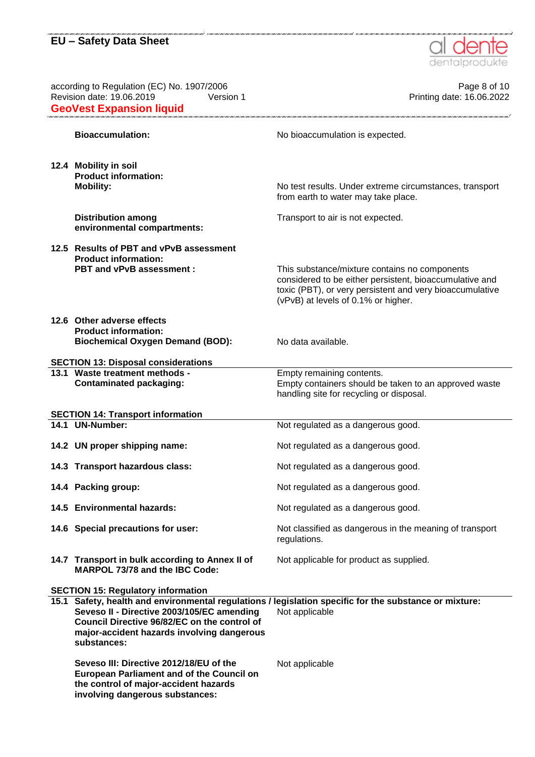**involving dangerous substances:**



according to Regulation (EC) No. 1907/2006 **Page 8** of 10 Revision date: 19.06.2019 Version 1 Version 1 New York 1 Revision date: 16.06.2022 **GeoVest Expansion liquid Bioaccumulation:** No bioaccumulation is expected. **12.4 Mobility in soil Product information: Mobility:** No test results. Under extreme circumstances, transport from earth to water may take place. **Distribution among environmental compartments:** Transport to air is not expected. **12.5 Results of PBT and vPvB assessment Product information: PBT and vPvB assessment :** This substance/mixture contains no components considered to be either persistent, bioaccumulative and toxic (PBT), or very persistent and very bioaccumulative (vPvB) at levels of 0.1% or higher. **12.6 Other adverse effects Product information: Biochemical Oxygen Demand (BOD):** No data available. **SECTION 13: Disposal considerations 13.1 Waste treatment methods - Contaminated packaging:** Empty remaining contents. Empty containers should be taken to an approved waste handling site for recycling or disposal. **SECTION 14: Transport information 14.1 UN-Number:** Not regulated as a dangerous good. **14.2 UN proper shipping name:** Not regulated as a dangerous good. **14.3 Transport hazardous class:** Not regulated as a dangerous good. **14.4 Packing group:**  $\qquad \qquad \text{Not regulated as a dangerous good.}$ **14.5 Environmental hazards:** Not regulated as a dangerous good. **14.6 Special precautions for user:** Not classified as dangerous in the meaning of transport regulations. **14.7 Transport in bulk according to Annex II of MARPOL 73/78 and the IBC Code:** Not applicable for product as supplied. **SECTION 15: Regulatory information 15.1 Safety, health and environmental regulations / legislation specific for the substance or mixture: Seveso II - Directive 2003/105/EC amending Council Directive 96/82/EC on the control of major-accident hazards involving dangerous substances:** Not applicable **Seveso III: Directive 2012/18/EU of the European Parliament and of the Council on the control of major-accident hazards**  Not applicable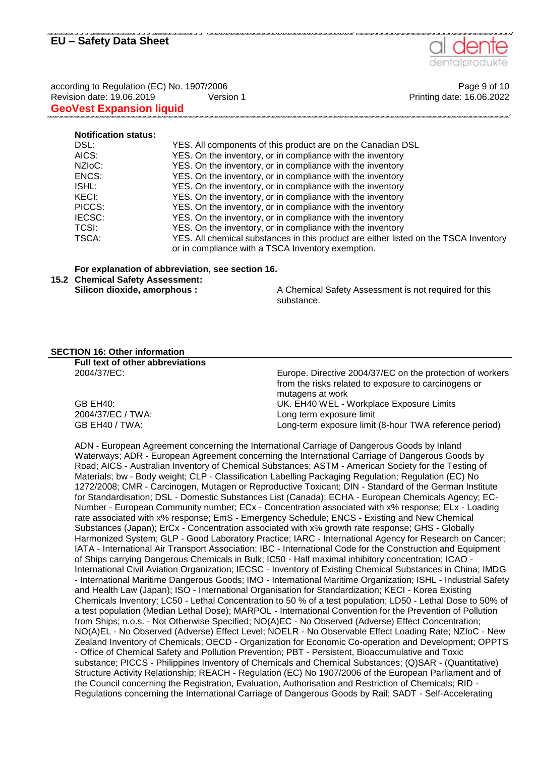

according to Regulation (EC) No. 1907/2006 **Page 9 of 10** Page 9 of 10 Revision date: 19.06.2019 Version 1 Version 1 Printing date: 16.06.2022 **GeoVest Expansion liquid** 

#### **Notification status:**

| YES. All components of this product are on the Canadian DSL                          |
|--------------------------------------------------------------------------------------|
| YES. On the inventory, or in compliance with the inventory                           |
| YES. On the inventory, or in compliance with the inventory                           |
| YES. On the inventory, or in compliance with the inventory                           |
| YES. On the inventory, or in compliance with the inventory                           |
| YES. On the inventory, or in compliance with the inventory                           |
| YES. On the inventory, or in compliance with the inventory                           |
| YES. On the inventory, or in compliance with the inventory                           |
| YES. On the inventory, or in compliance with the inventory                           |
| YES. All chemical substances in this product are either listed on the TSCA Inventory |
| or in compliance with a TSCA Inventory exemption.                                    |
|                                                                                      |

#### **For explanation of abbreviation, see section 16.**

**15.2 Chemical Safety Assessment:**

**Silicon dioxide, amorphous :** A Chemical Safety Assessment is not required for this substance.

#### **SECTION 16: Other information**

| Full text of other abbreviations |                                                           |
|----------------------------------|-----------------------------------------------------------|
| 2004/37/EC:                      | Europe. Directive 2004/37/EC on the protection of workers |
|                                  | from the risks related to exposure to carcinogens or      |
|                                  | mutagens at work                                          |
| GB EH40:                         | UK. EH40 WEL - Workplace Exposure Limits                  |
| 2004/37/EC / TWA:                | Long term exposure limit                                  |
| GB EH40 / TWA:                   | Long-term exposure limit (8-hour TWA reference period)    |

ADN - European Agreement concerning the International Carriage of Dangerous Goods by Inland Waterways; ADR - European Agreement concerning the International Carriage of Dangerous Goods by Road; AICS - Australian Inventory of Chemical Substances; ASTM - American Society for the Testing of Materials; bw - Body weight; CLP - Classification Labelling Packaging Regulation; Regulation (EC) No 1272/2008; CMR - Carcinogen, Mutagen or Reproductive Toxicant; DIN - Standard of the German Institute for Standardisation; DSL - Domestic Substances List (Canada); ECHA - European Chemicals Agency; EC-Number - European Community number; ECx - Concentration associated with x% response; ELx - Loading rate associated with x% response; EmS - Emergency Schedule; ENCS - Existing and New Chemical Substances (Japan); ErCx - Concentration associated with x% growth rate response; GHS - Globally Harmonized System; GLP - Good Laboratory Practice; IARC - International Agency for Research on Cancer; IATA - International Air Transport Association; IBC - International Code for the Construction and Equipment of Ships carrying Dangerous Chemicals in Bulk; IC50 - Half maximal inhibitory concentration; ICAO - International Civil Aviation Organization; IECSC - Inventory of Existing Chemical Substances in China; IMDG - International Maritime Dangerous Goods; IMO - International Maritime Organization; ISHL - Industrial Safety and Health Law (Japan); ISO - International Organisation for Standardization; KECI - Korea Existing Chemicals Inventory; LC50 - Lethal Concentration to 50 % of a test population; LD50 - Lethal Dose to 50% of a test population (Median Lethal Dose); MARPOL - International Convention for the Prevention of Pollution from Ships; n.o.s. - Not Otherwise Specified; NO(A)EC - No Observed (Adverse) Effect Concentration; NO(A)EL - No Observed (Adverse) Effect Level; NOELR - No Observable Effect Loading Rate; NZIoC - New Zealand Inventory of Chemicals; OECD - Organization for Economic Co-operation and Development; OPPTS - Office of Chemical Safety and Pollution Prevention; PBT - Persistent, Bioaccumulative and Toxic substance; PICCS - Philippines Inventory of Chemicals and Chemical Substances; (Q)SAR - (Quantitative) Structure Activity Relationship; REACH - Regulation (EC) No 1907/2006 of the European Parliament and of the Council concerning the Registration, Evaluation, Authorisation and Restriction of Chemicals; RID - Regulations concerning the International Carriage of Dangerous Goods by Rail; SADT - Self-Accelerating